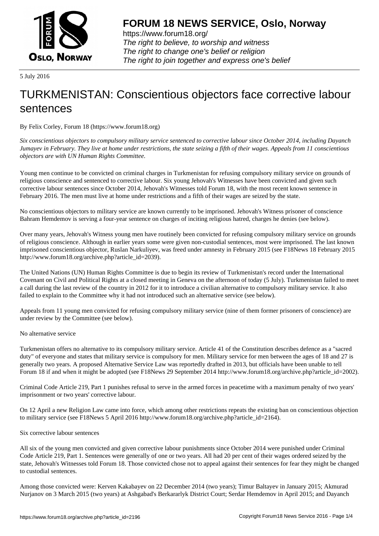

https://www.forum18.org/ The right to believe, to worship and witness The right to change one's belief or religion [The right to join together a](https://www.forum18.org/)nd express one's belief

5 July 2016

# [TURKMENISTA](https://www.forum18.org)N: Conscientious objectors face corrective labour sentences

By Felix Corley, Forum 18 (https://www.forum18.org)

*Six conscientious objectors to compulsory military service sentenced to corrective labour since October 2014, including Dayanch Jumayev in February. They live at home under restrictions, the state seizing a fifth of their wages. Appeals from 11 conscientious objectors are with UN Human Rights Committee.*

Young men continue to be convicted on criminal charges in Turkmenistan for refusing compulsory military service on grounds of religious conscience and sentenced to corrective labour. Six young Jehovah's Witnesses have been convicted and given such corrective labour sentences since October 2014, Jehovah's Witnesses told Forum 18, with the most recent known sentence in February 2016. The men must live at home under restrictions and a fifth of their wages are seized by the state.

No conscientious objectors to military service are known currently to be imprisoned. Jehovah's Witness prisoner of conscience Bahram Hemdemov is serving a four-year sentence on charges of inciting religious hatred, charges he denies (see below).

Over many years, Jehovah's Witness young men have routinely been convicted for refusing compulsory military service on grounds of religious conscience. Although in earlier years some were given non-custodial sentences, most were imprisoned. The last known imprisoned conscientious objector, Ruslan Narkuliyev, was freed under amnesty in February 2015 (see F18News 18 February 2015 http://www.forum18.org/archive.php?article\_id=2039).

The United Nations (UN) Human Rights Committee is due to begin its review of Turkmenistan's record under the International Covenant on Civil and Political Rights at a closed meeting in Geneva on the afternoon of today (5 July). Turkmenistan failed to meet a call during the last review of the country in 2012 for it to introduce a civilian alternative to compulsory military service. It also failed to explain to the Committee why it had not introduced such an alternative service (see below).

Appeals from 11 young men convicted for refusing compulsory military service (nine of them former prisoners of conscience) are under review by the Committee (see below).

### No alternative service

Turkmenistan offers no alternative to its compulsory military service. Article 41 of the Constitution describes defence as a "sacred duty" of everyone and states that military service is compulsory for men. Military service for men between the ages of 18 and 27 is generally two years. A proposed Alternative Service Law was reportedly drafted in 2013, but officials have been unable to tell Forum 18 if and when it might be adopted (see F18News 29 September 2014 http://www.forum18.org/archive.php?article\_id=2002).

Criminal Code Article 219, Part 1 punishes refusal to serve in the armed forces in peacetime with a maximum penalty of two years' imprisonment or two years' corrective labour.

On 12 April a new Religion Law came into force, which among other restrictions repeats the existing ban on conscientious objection to military service (see F18News 5 April 2016 http://www.forum18.org/archive.php?article\_id=2164).

### Six corrective labour sentences

All six of the young men convicted and given corrective labour punishments since October 2014 were punished under Criminal Code Article 219, Part 1. Sentences were generally of one or two years. All had 20 per cent of their wages ordered seized by the state, Jehovah's Witnesses told Forum 18. Those convicted chose not to appeal against their sentences for fear they might be changed to custodial sentences.

Among those convicted were: Kerven Kakabayev on 22 December 2014 (two years); Timur Baltayev in January 2015; Akmurad Nurjanov on 3 March 2015 (two years) at Ashgabad's Berkararlyk District Court; Serdar Hemdemov in April 2015; and Dayanch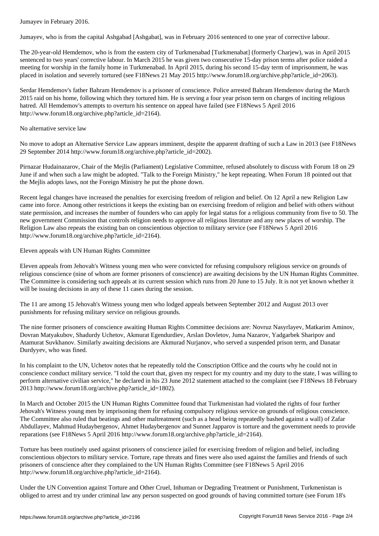Jumayev, who is from the capital Ashgabad [Ashgabat], was in February 2016 sentenced to one year of corrective labour.

The 20-year-old Hemdemov, who is from the eastern city of Turkmenabad [Turkmenabat] (formerly Charjew), was in April 2015 sentenced to two years' corrective labour. In March 2015 he was given two consecutive 15-day prison terms after police raided a meeting for worship in the family home in Turkmenabad. In April 2015, during his second 15-day term of imprisonment, he was placed in isolation and severely tortured (see F18News 21 May 2015 http://www.forum18.org/archive.php?article\_id=2063).

Serdar Hemdemov's father Bahram Hemdemov is a prisoner of conscience. Police arrested Bahram Hemdemov during the March 2015 raid on his home, following which they tortured him. He is serving a four year prison term on charges of inciting religious hatred. All Hemdemov's attempts to overturn his sentence on appeal have failed (see F18News 5 April 2016 http://www.forum18.org/archive.php?article\_id=2164).

### No alternative service law

No move to adopt an Alternative Service Law appears imminent, despite the apparent drafting of such a Law in 2013 (see F18News 29 September 2014 http://www.forum18.org/archive.php?article\_id=2002).

Pirnazar Hudainazarov, Chair of the Mejlis (Parliament) Legislative Committee, refused absolutely to discuss with Forum 18 on 29 June if and when such a law might be adopted. "Talk to the Foreign Ministry," he kept repeating. When Forum 18 pointed out that the Mejlis adopts laws, not the Foreign Ministry he put the phone down.

Recent legal changes have increased the penalties for exercising freedom of religion and belief. On 12 April a new Religion Law came into force. Among other restrictions it keeps the existing ban on exercising freedom of religion and belief with others without state permission, and increases the number of founders who can apply for legal status for a religious community from five to 50. The new government Commission that controls religion needs to approve all religious literature and any new places of worship. The Religion Law also repeats the existing ban on conscientious objection to military service (see F18News 5 April 2016 http://www.forum18.org/archive.php?article\_id=2164).

Eleven appeals with UN Human Rights Committee

Eleven appeals from Jehovah's Witness young men who were convicted for refusing compulsory religious service on grounds of religious conscience (nine of whom are former prisoners of conscience) are awaiting decisions by the UN Human Rights Committee. The Committee is considering such appeals at its current session which runs from 20 June to 15 July. It is not yet known whether it will be issuing decisions in any of these 11 cases during the session.

The 11 are among 15 Jehovah's Witness young men who lodged appeals between September 2012 and August 2013 over punishments for refusing military service on religious grounds.

The nine former prisoners of conscience awaiting Human Rights Committee decisions are: Novruz Nasyrlayev, Matkarim Aminov, Dovran Matyakubov, Shadurdy Uchetov, Akmurat Egendurdiev, Arslan Dovletov, Juma Nazarov, Yadgarbek Sharipov and Atamurat Suvkhanov. Similarly awaiting decisions are Akmurad Nurjanov, who served a suspended prison term, and Danatar Durdyyev, who was fined.

In his complaint to the UN, Uchetov notes that he repeatedly told the Conscription Office and the courts why he could not in conscience conduct military service. "I told the court that, given my respect for my country and my duty to the state, I was willing to perform alternative civilian service," he declared in his 23 June 2012 statement attached to the complaint (see F18News 18 February 2013 http://www.forum18.org/archive.php?article\_id=1802).

In March and October 2015 the UN Human Rights Committee found that Turkmenistan had violated the rights of four further Jehovah's Witness young men by imprisoning them for refusing compulsory religious service on grounds of religious conscience. The Committee also ruled that beatings and other maltreatment (such as a head being repeatedly bashed against a wall) of Zafar Abdullayev, Mahmud Hudaybergenov, Ahmet Hudaybergenov and Sunnet Japparov is torture and the government needs to provide reparations (see F18News 5 April 2016 http://www.forum18.org/archive.php?article\_id=2164).

Torture has been routinely used against prisoners of conscience jailed for exercising freedom of religion and belief, including conscientious objectors to military service. Torture, rape threats and fines were also used against the families and friends of such prisoners of conscience after they complained to the UN Human Rights Committee (see F18News 5 April 2016 http://www.forum18.org/archive.php?article\_id=2164).

Under the UN Convention against Torture and Other Cruel, Inhuman or Degrading Treatment or Punishment, Turkmenistan is obliged to arrest and try under criminal law any person suspected on good grounds of having committed torture (see Forum 18's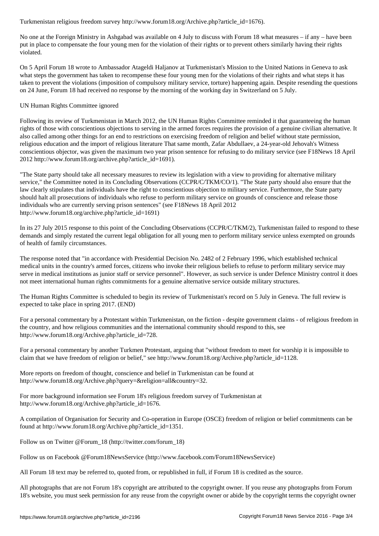No one at the Foreign Ministry in Ashgabad was available on 4 July to discuss with Forum 18 what measures – if any – have been put in place to compensate the four young men for the violation of their rights or to prevent others similarly having their rights violated.

On 5 April Forum 18 wrote to Ambassador Atageldi Haljanov at Turkmenistan's Mission to the United Nations in Geneva to ask what steps the government has taken to recompense these four young men for the violations of their rights and what steps it has taken to prevent the violations (imposition of compulsory military service, torture) happening again. Despite resending the questions on 24 June, Forum 18 had received no response by the morning of the working day in Switzerland on 5 July.

## UN Human Rights Committee ignored

Following its review of Turkmenistan in March 2012, the UN Human Rights Committee reminded it that guaranteeing the human rights of those with conscientious objections to serving in the armed forces requires the provision of a genuine civilian alternative. It also called among other things for an end to restrictions on exercising freedom of religion and belief without state permission, religious education and the import of religious literature That same month, Zafar Abdullaev, a 24-year-old Jehovah's Witness conscientious objector, was given the maximum two year prison sentence for refusing to do military service (see F18News 18 April 2012 http://www.forum18.org/archive.php?article\_id=1691).

"The State party should take all necessary measures to review its legislation with a view to providing for alternative military service," the Committee noted in its Concluding Observations (CCPR/C/TKM/CO/1). "The State party should also ensure that the law clearly stipulates that individuals have the right to conscientious objection to military service. Furthermore, the State party should halt all prosecutions of individuals who refuse to perform military service on grounds of conscience and release those individuals who are currently serving prison sentences" (see F18News 18 April 2012 http://www.forum18.org/archive.php?article\_id=1691)

In its 27 July 2015 response to this point of the Concluding Observations (CCPR/C/TKM/2), Turkmenistan failed to respond to these demands and simply restated the current legal obligation for all young men to perform military service unless exempted on grounds of health of family circumstances.

The response noted that "in accordance with Presidential Decision No. 2482 of 2 February 1996, which established technical medical units in the country's armed forces, citizens who invoke their religious beliefs to refuse to perform military service may serve in medical institutions as junior staff or service personnel". However, as such service is under Defence Ministry control it does not meet international human rights commitments for a genuine alternative service outside military structures.

The Human Rights Committee is scheduled to begin its review of Turkmenistan's record on 5 July in Geneva. The full review is expected to take place in spring 2017. (END)

For a personal commentary by a Protestant within Turkmenistan, on the fiction - despite government claims - of religious freedom in the country, and how religious communities and the international community should respond to this, see http://www.forum18.org/Archive.php?article\_id=728.

For a personal commentary by another Turkmen Protestant, arguing that "without freedom to meet for worship it is impossible to claim that we have freedom of religion or belief," see http://www.forum18.org/Archive.php?article\_id=1128.

More reports on freedom of thought, conscience and belief in Turkmenistan can be found at http://www.forum18.org/Archive.php?query=&religion=all&country=32.

For more background information see Forum 18's religious freedom survey of Turkmenistan at http://www.forum18.org/Archive.php?article\_id=1676.

A compilation of Organisation for Security and Co-operation in Europe (OSCE) freedom of religion or belief commitments can be found at http://www.forum18.org/Archive.php?article\_id=1351.

Follow us on Twitter @Forum\_18 (http://twitter.com/forum\_18)

Follow us on Facebook @Forum18NewsService (http://www.facebook.com/Forum18NewsService)

All Forum 18 text may be referred to, quoted from, or republished in full, if Forum 18 is credited as the source.

All photographs that are not Forum 18's copyright are attributed to the copyright owner. If you reuse any photographs from Forum 18's website, you must seek permission for any reuse from the copyright owner or abide by the copyright terms the copyright owner